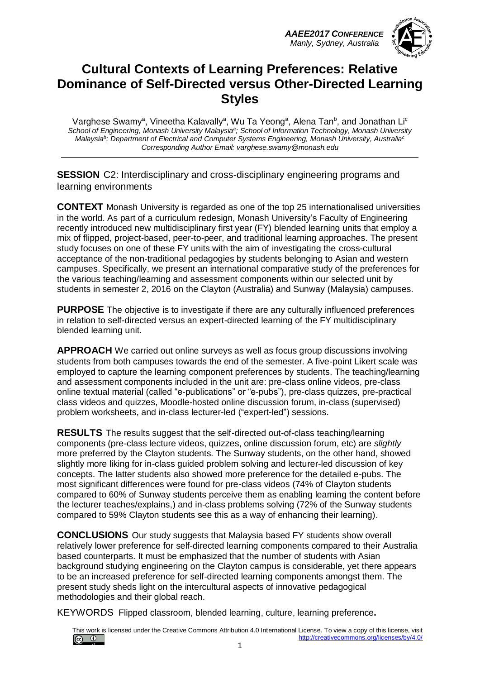*AAEE2017 CONFERENCE Manly, Sydney, Australia*



#### **Cultural Contexts of Learning Preferences: Relative Dominance of Self-Directed versus Other-Directed Learning Styles**

Varghese Swamy<sup>a</sup>, Vineetha Kalavally<sup>a</sup>, Wu Ta Yeong<sup>a</sup>, Alena Tan<sup>b</sup>, and Jonathan Li<sup>c</sup> *School of Engineering, Monash University Malaysia<sup>a</sup> ; School of Information Technology, Monash University Malaysia<sup>b</sup> ; Department of Electrical and Computer Systems Engineering, Monash University, Australia<sup>c</sup> Corresponding Author Email: varghese.swamy@monash.edu*

**SESSION** C2: Interdisciplinary and cross-disciplinary engineering programs and learning environments

**CONTEXT** Monash University is regarded as one of the top 25 internationalised universities in the world. As part of a curriculum redesign, Monash University's Faculty of Engineering recently introduced new multidisciplinary first year (FY) blended learning units that employ a mix of flipped, project-based, peer-to-peer, and traditional learning approaches. The present study focuses on one of these FY units with the aim of investigating the cross-cultural acceptance of the non-traditional pedagogies by students belonging to Asian and western campuses. Specifically, we present an international comparative study of the preferences for the various teaching/learning and assessment components within our selected unit by students in semester 2, 2016 on the Clayton (Australia) and Sunway (Malaysia) campuses.

**PURPOSE** The objective is to investigate if there are any culturally influenced preferences in relation to self-directed versus an expert-directed learning of the FY multidisciplinary blended learning unit.

**APPROACH** We carried out online surveys as well as focus group discussions involving students from both campuses towards the end of the semester. A five-point Likert scale was employed to capture the learning component preferences by students. The teaching/learning and assessment components included in the unit are: pre-class online videos, pre-class online textual material (called "e-publications" or "e-pubs"), pre-class quizzes, pre-practical class videos and quizzes, Moodle-hosted online discussion forum, in-class (supervised) problem worksheets, and in-class lecturer-led ("expert-led") sessions.

**RESULTS** The results suggest that the self-directed out-of-class teaching/learning components (pre-class lecture videos, quizzes, online discussion forum, etc) are *slightly* more preferred by the Clayton students. The Sunway students, on the other hand, showed slightly more liking for in-class guided problem solving and lecturer-led discussion of key concepts. The latter students also showed more preference for the detailed e-pubs. The most significant differences were found for pre-class videos (74% of Clayton students compared to 60% of Sunway students perceive them as enabling learning the content before the lecturer teaches/explains,) and in-class problems solving (72% of the Sunway students compared to 59% Clayton students see this as a way of enhancing their learning).

**CONCLUSIONS** Our study suggests that Malaysia based FY students show overall relatively lower preference for self-directed learning components compared to their Australia based counterparts. It must be emphasized that the number of students with Asian background studying engineering on the Clayton campus is considerable, yet there appears to be an increased preference for self-directed learning components amongst them. The present study sheds light on the intercultural aspects of innovative pedagogical methodologies and their global reach.

KEYWORDS Flipped classroom, blended learning, culture, learning preference**.**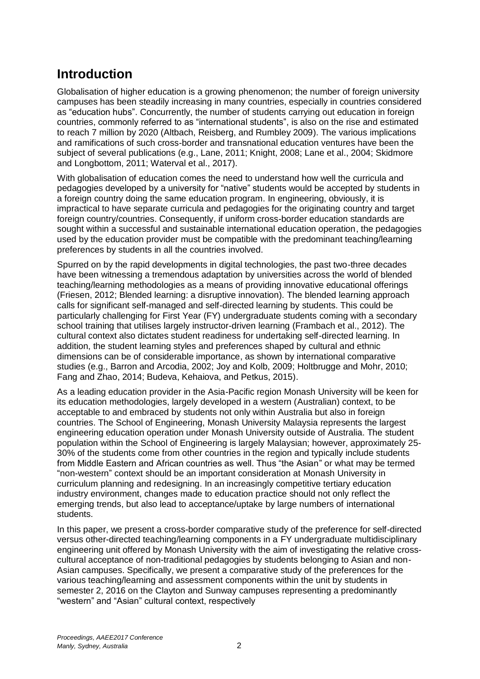### **Introduction**

Globalisation of higher education is a growing phenomenon; the number of foreign university campuses has been steadily increasing in many countries, especially in countries considered as "education hubs". Concurrently, the number of students carrying out education in foreign countries, commonly referred to as "international students", is also on the rise and estimated to reach 7 million by 2020 (Altbach, Reisberg, and Rumbley 2009). The various implications and ramifications of such cross-border and transnational education ventures have been the subject of several publications (e.g., Lane, 2011; Knight, 2008; Lane et al., 2004; Skidmore and Longbottom, 2011; Waterval et al., 2017).

With globalisation of education comes the need to understand how well the curricula and pedagogies developed by a university for "native" students would be accepted by students in a foreign country doing the same education program. In engineering, obviously, it is impractical to have separate curricula and pedagogies for the originating country and target foreign country/countries. Consequently, if uniform cross-border education standards are sought within a successful and sustainable international education operation, the pedagogies used by the education provider must be compatible with the predominant teaching/learning preferences by students in all the countries involved.

Spurred on by the rapid developments in digital technologies, the past two-three decades have been witnessing a tremendous adaptation by universities across the world of blended teaching/learning methodologies as a means of providing innovative educational offerings (Friesen, 2012; Blended learning: a disruptive innovation). The blended learning approach calls for significant self-managed and self-directed learning by students. This could be particularly challenging for First Year (FY) undergraduate students coming with a secondary school training that utilises largely instructor-driven learning (Frambach et al., 2012). The cultural context also dictates student readiness for undertaking self-directed learning. In addition, the student learning styles and preferences shaped by cultural and ethnic dimensions can be of considerable importance, as shown by international comparative studies (e.g., Barron and Arcodia, 2002; Joy and Kolb, 2009; Holtbrugge and Mohr, 2010; Fang and Zhao, 2014; Budeva, Kehaiova, and Petkus, 2015).

As a leading education provider in the Asia-Pacific region Monash University will be keen for its education methodologies, largely developed in a western (Australian) context, to be acceptable to and embraced by students not only within Australia but also in foreign countries. The School of Engineering, Monash University Malaysia represents the largest engineering education operation under Monash University outside of Australia. The student population within the School of Engineering is largely Malaysian; however, approximately 25- 30% of the students come from other countries in the region and typically include students from Middle Eastern and African countries as well. Thus "the Asian" or what may be termed "non-western" context should be an important consideration at Monash University in curriculum planning and redesigning. In an increasingly competitive tertiary education industry environment, changes made to education practice should not only reflect the emerging trends, but also lead to acceptance/uptake by large numbers of international students.

In this paper, we present a cross-border comparative study of the preference for self-directed versus other-directed teaching/learning components in a FY undergraduate multidisciplinary engineering unit offered by Monash University with the aim of investigating the relative crosscultural acceptance of non-traditional pedagogies by students belonging to Asian and non-Asian campuses. Specifically, we present a comparative study of the preferences for the various teaching/learning and assessment components within the unit by students in semester 2, 2016 on the Clayton and Sunway campuses representing a predominantly "western" and "Asian" cultural context, respectively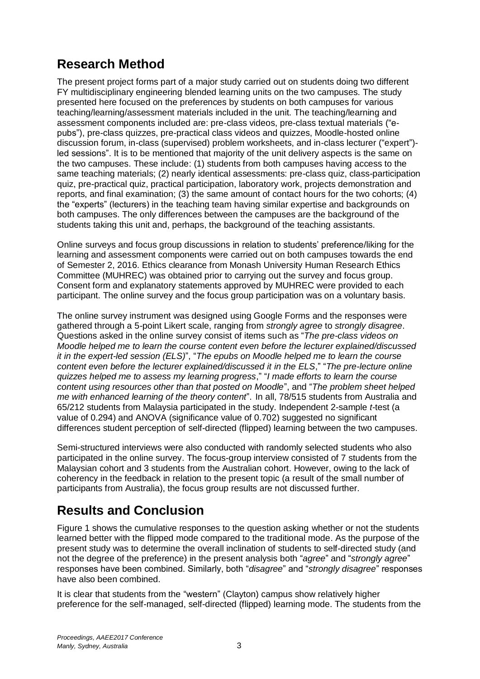## **Research Method**

The present project forms part of a major study carried out on students doing two different FY multidisciplinary engineering blended learning units on the two campuses. The study presented here focused on the preferences by students on both campuses for various teaching/learning/assessment materials included in the unit. The teaching/learning and assessment components included are: pre-class videos, pre-class textual materials ("epubs"), pre-class quizzes, pre-practical class videos and quizzes, Moodle-hosted online discussion forum, in-class (supervised) problem worksheets, and in-class lecturer ("expert") led sessions". It is to be mentioned that majority of the unit delivery aspects is the same on the two campuses. These include: (1) students from both campuses having access to the same teaching materials; (2) nearly identical assessments: pre-class quiz, class-participation quiz, pre-practical quiz, practical participation, laboratory work, projects demonstration and reports, and final examination; (3) the same amount of contact hours for the two cohorts; (4) the "experts" (lecturers) in the teaching team having similar expertise and backgrounds on both campuses. The only differences between the campuses are the background of the students taking this unit and, perhaps, the background of the teaching assistants.

Online surveys and focus group discussions in relation to students' preference/liking for the learning and assessment components were carried out on both campuses towards the end of Semester 2, 2016. Ethics clearance from Monash University Human Research Ethics Committee (MUHREC) was obtained prior to carrying out the survey and focus group. Consent form and explanatory statements approved by MUHREC were provided to each participant. The online survey and the focus group participation was on a voluntary basis.

The online survey instrument was designed using Google Forms and the responses were gathered through a 5-point Likert scale, ranging from *strongly agree* to *strongly disagree*. Questions asked in the online survey consist of items such as "*The pre-class videos on Moodle helped me to learn the course content even before the lecturer explained/discussed it in the expert-led session (ELS)*", "*The epubs on Moodle helped me to learn the course content even before the lecturer explained/discussed it in the ELS*," "*The pre-lecture online quizzes helped me to assess my learning progress*," "*I made efforts to learn the course content using resources other than that posted on Moodle*", and "*The problem sheet helped me with enhanced learning of the theory content*". In all, 78/515 students from Australia and 65/212 students from Malaysia participated in the study. Independent 2-sample *t*-test (a value of 0.294) and ANOVA (significance value of 0.702) suggested no significant differences student perception of self-directed (flipped) learning between the two campuses.

Semi-structured interviews were also conducted with randomly selected students who also participated in the online survey. The focus-group interview consisted of 7 students from the Malaysian cohort and 3 students from the Australian cohort. However, owing to the lack of coherency in the feedback in relation to the present topic (a result of the small number of participants from Australia), the focus group results are not discussed further.

# **Results and Conclusion**

Figure 1 shows the cumulative responses to the question asking whether or not the students learned better with the flipped mode compared to the traditional mode. As the purpose of the present study was to determine the overall inclination of students to self-directed study (and not the degree of the preference) in the present analysis both "*agree*" and "*strongly agree*" responses have been combined. Similarly, both "*disagree*" and "*strongly disagree*" responses have also been combined.

It is clear that students from the "western" (Clayton) campus show relatively higher preference for the self-managed, self-directed (flipped) learning mode. The students from the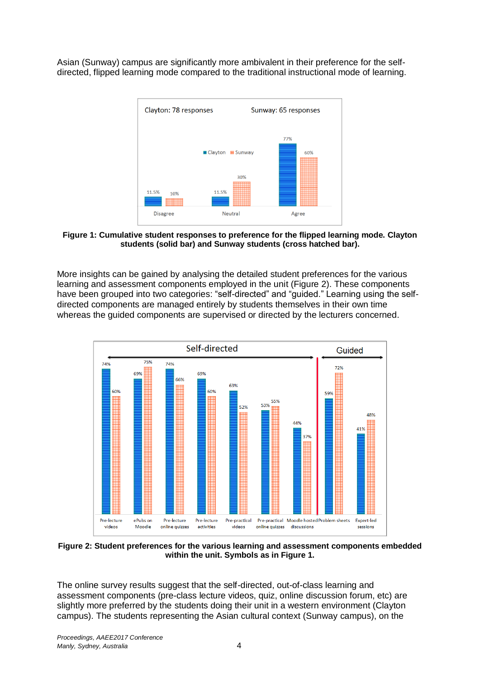Asian (Sunway) campus are significantly more ambivalent in their preference for the selfdirected, flipped learning mode compared to the traditional instructional mode of learning.



**Figure 1: Cumulative student responses to preference for the flipped learning mode. Clayton students (solid bar) and Sunway students (cross hatched bar).**

More insights can be gained by analysing the detailed student preferences for the various learning and assessment components employed in the unit (Figure 2). These components have been grouped into two categories: "self-directed" and "guided." Learning using the selfdirected components are managed entirely by students themselves in their own time whereas the guided components are supervised or directed by the lecturers concerned.



**Figure 2: Student preferences for the various learning and assessment components embedded within the unit. Symbols as in Figure 1.**

The online survey results suggest that the self-directed, out-of-class learning and assessment components (pre-class lecture videos, quiz, online discussion forum, etc) are slightly more preferred by the students doing their unit in a western environment (Clayton campus). The students representing the Asian cultural context (Sunway campus), on the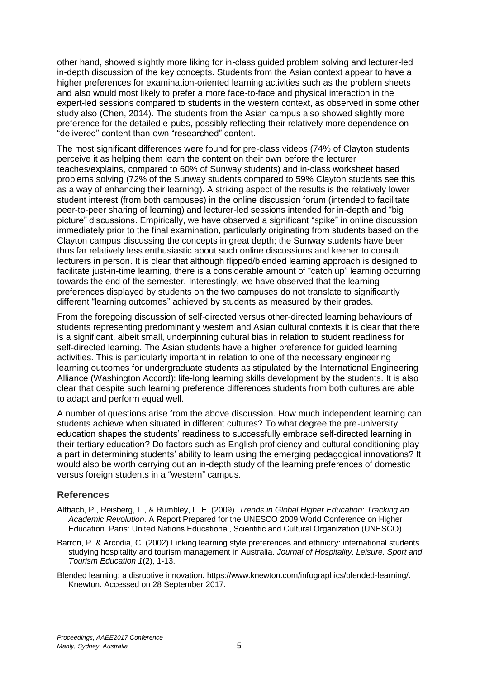other hand, showed slightly more liking for in-class guided problem solving and lecturer-led in-depth discussion of the key concepts. Students from the Asian context appear to have a higher preferences for examination-oriented learning activities such as the problem sheets and also would most likely to prefer a more face-to-face and physical interaction in the expert-led sessions compared to students in the western context, as observed in some other study also (Chen, 2014). The students from the Asian campus also showed slightly more preference for the detailed e-pubs, possibly reflecting their relatively more dependence on "delivered" content than own "researched" content.

The most significant differences were found for pre-class videos (74% of Clayton students perceive it as helping them learn the content on their own before the lecturer teaches/explains, compared to 60% of Sunway students) and in-class worksheet based problems solving (72% of the Sunway students compared to 59% Clayton students see this as a way of enhancing their learning). A striking aspect of the results is the relatively lower student interest (from both campuses) in the online discussion forum (intended to facilitate peer-to-peer sharing of learning) and lecturer-led sessions intended for in-depth and "big picture" discussions. Empirically, we have observed a significant "spike" in online discussion immediately prior to the final examination, particularly originating from students based on the Clayton campus discussing the concepts in great depth; the Sunway students have been thus far relatively less enthusiastic about such online discussions and keener to consult lecturers in person. It is clear that although flipped/blended learning approach is designed to facilitate just-in-time learning, there is a considerable amount of "catch up" learning occurring towards the end of the semester. Interestingly, we have observed that the learning preferences displayed by students on the two campuses do not translate to significantly different "learning outcomes" achieved by students as measured by their grades.

From the foregoing discussion of self-directed versus other-directed learning behaviours of students representing predominantly western and Asian cultural contexts it is clear that there is a significant, albeit small, underpinning cultural bias in relation to student readiness for self-directed learning. The Asian students have a higher preference for guided learning activities. This is particularly important in relation to one of the necessary engineering learning outcomes for undergraduate students as stipulated by the International Engineering Alliance (Washington Accord): life-long learning skills development by the students. It is also clear that despite such learning preference differences students from both cultures are able to adapt and perform equal well.

A number of questions arise from the above discussion. How much independent learning can students achieve when situated in different cultures? To what degree the pre-university education shapes the students' readiness to successfully embrace self-directed learning in their tertiary education? Do factors such as English proficiency and cultural conditioning play a part in determining students' ability to learn using the emerging pedagogical innovations? It would also be worth carrying out an in-depth study of the learning preferences of domestic versus foreign students in a "western" campus.

#### **References**

- Altbach, P., Reisberg, L., & Rumbley, L. E. (2009). *Trends in Global Higher Education: Tracking an Academic Revolution*. A Report Prepared for the UNESCO 2009 World Conference on Higher Education. Paris: United Nations Educational, Scientific and Cultural Organization (UNESCO).
- Barron, P. & Arcodia, C. (2002) Linking learning style preferences and ethnicity: international students studying hospitality and tourism management in Australia. *Journal of Hospitality, Leisure, Sport and Tourism Education 1*(2), 1-13.
- Blended learning: a disruptive innovation. https://www.knewton.com/infographics/blended-learning/. Knewton. Accessed on 28 September 2017.